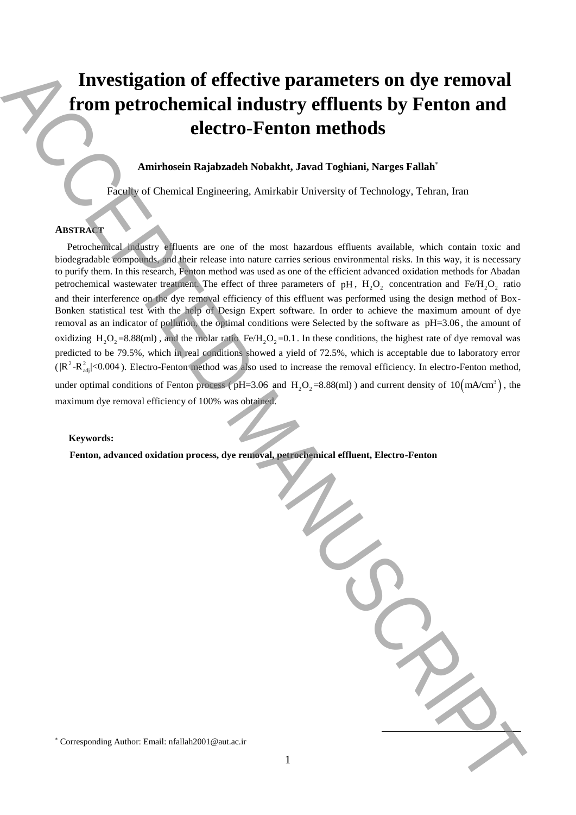# **Investigation of effective parameters on dye removal from petrochemical industry effluents by Fenton and electro-Fenton methods**

**Amirhosein Rajabzadeh Nobakht, Javad Toghiani, Narges Fallah**\*

Faculty of Chemical Engineering, Amirkabir University of Technology, Tehran, Iran

# **ABSTRACT**

 Petrochemical industry effluents are one of the most hazardous effluents available, which contain toxic and biodegradable compounds, and their release into nature carries serious environmental risks. In this way, it is necessary to purify them. In this research, Fenton method was used as one of the efficient advanced oxidation methods for Abadan petrochemical wastewater treatment. The effect of three parameters of pH,  $H_2O_2$  concentration and Fe/H<sub>2</sub>O<sub>2</sub> ratio and their interference on the dye removal efficiency of this effluent was performed using the design method of Box-Bonken statistical test with the help of Design Expert software. In order to achieve the maximum amount of dye removal as an indicator of pollution, the optimal conditions were Selected by the software as pH=3.06, the amount of oxidizing  $H_2O_2 = 8.88$ (ml), and the molar ratio Fe/ $H_2O_2 = 0.1$ . In these conditions, the highest rate of dye removal was predicted to be 79.5%, which in real conditions showed a yield of 72.5%, which is acceptable due to laboratory error  $(|R^2-R_{\text{adj}}^2|<0.004)$ . Electro-Fenton method was also used to increase the removal efficiency. In electro-Fenton method, under optimal conditions of Fenton process ( $pH=3.06$  and  $H_2O_2=8.88$ (ml)) and current density of  $10(mA/cm^3)$ , the maximum dye removal efficiency of 100% was obtained. Investigation of effective parameters on dye removal<br>
from petrochemical industry effluents by Fenton and<br>
Antihone Regiments Authorities in the distance of the main tendents of the<br>state and the main tendents of the main

# **Keywords:**

 **Fenton, advanced oxidation process, dye removal, petrochemical effluent, Electro-Fenton**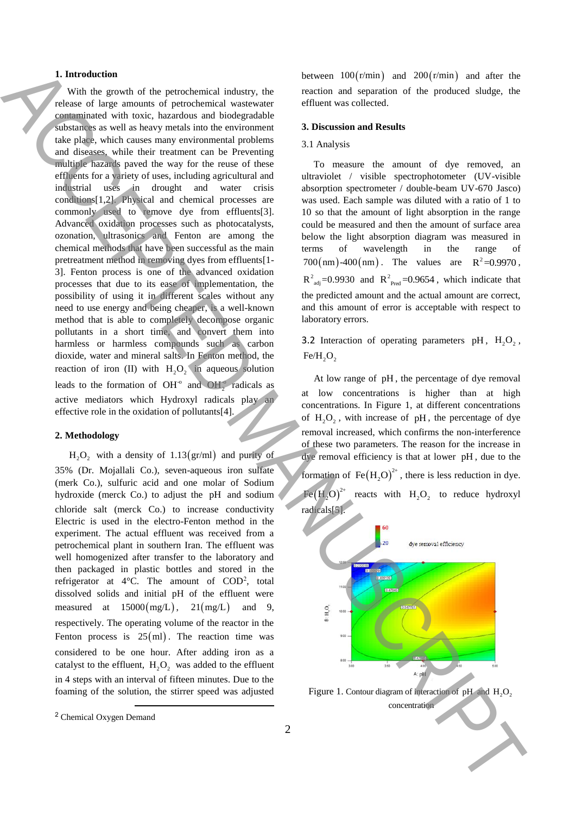## **1. Introduction**

 With the growth of the petrochemical industry, the release of large amounts of petrochemical wastewater contaminated with toxic, hazardous and biodegradable substances as well as heavy metals into the environment take place, which causes many environmental problems and diseases, while their treatment can be Preventing multiple hazards paved the way for the reuse of these effluents for a variety of uses, including agricultural and industrial uses in drought and water crisis conditions[1,2]. Physical and chemical processes are commonly used to remove dye from effluents[3]. Advanced oxidation processes such as photocatalysts, ozonation, ultrasonics and Fenton are among the chemical methods that have been successful as the main pretreatment method in removing dyes from effluents[1- 3]. Fenton process is one of the advanced oxidation processes that due to its ease of implementation, the possibility of using it in different scales without any need to use energy and being cheaper, is a well-known method that is able to completely decompose organic pollutants in a short time, and convert them into harmless or harmless compounds such as carbon dioxide, water and mineral salts. In Fenton method, the reaction of iron (II) with  $H_2O_2$  in aqueous solution leads to the formation of OH<sup>o</sup> and OH<sub>2</sub><sup>o</sup> radicals as active mediators which Hydroxyl radicals play an effective role in the oxidation of pollutants[4]. **1** Interaction of other percebonical concepts. The theoretical big 2000 and 2000 and 2000 and 2000 and 2000 and 2000 and 2000 and 2000 and 2000 and 2000 and 2000 and 2000 and 2000 and 2000 and 2000 and 2000 and 2000 and

#### **2. Methodology**

 $H_2O_2$  with a density of 1.13(gr/ml) and purity of 35% (Dr. Mojallali Co.), seven-aqueous iron sulfate (merk Co.), sulfuric acid and one molar of Sodium hydroxide (merck Co.) to adjust the pH and sodium chloride salt (merck Co.) to increase conductivity Electric is used in the electro-Fenton method in the experiment. The actual effluent was received from a petrochemical plant in southern Iran. The effluent was well homogenized after transfer to the laboratory and then packaged in plastic bottles and stored in the refrigerator at  $4^{\circ}$ C. The amount of COD<sup>2</sup>, total dissolved solids and initial pH of the effluent were measured at  $15000 \, (\text{mg/L})$ ,  $21 \, (\text{mg/L})$ and 9, respectively. The operating volume of the reactor in the Fenton process is  $25$ (ml). The reaction time was considered to be one hour. After adding iron as a catalyst to the effluent,  $H_2O_2$  was added to the effluent in 4 steps with an interval of fifteen minutes. Due to the foaming of the solution, the stirrer speed was adjusted

**.** 

between  $100(r/min)$  and  $200(r/min)$  and after the reaction and separation of the produced sludge, the effluent was collected.

# **3. Discussion and Results**

### 3.1 Analysis

 To measure the amount of dye removed, an ultraviolet / visible spectrophotometer (UV-visible absorption spectrometer / double-beam UV-670 Jasco) was used. Each sample was diluted with a ratio of 1 to 10 so that the amount of light absorption in the range could be measured and then the amount of surface area below the light absorption diagram was measured in terms of wavelength in the range of  $700 \text{(nm)}$ -400 $\text{(nm)}$ . The values are  $R^2 = 0.9970$ .  $R^2_{\text{adj}}$ =0.9930 and  $R^2_{\text{Pred}}$ =0.9654, which indicate that the predicted amount and the actual amount are correct, and this amount of error is acceptable with respect to laboratory errors.

3.2 Interaction of operating parameters  $pH$ ,  $H_2O_2$ ,  $Fe/H_{2}O_{2}$ 

 At low range of pH , the percentage of dye removal at low concentrations is higher than at high concentrations. In Figure 1, at different concentrations of  $H_2O_2$ , with increase of pH, the percentage of dye removal increased, which confirms the non-interference of these two parameters. The reason for the increase in dye removal efficiency is that at lower pH , due to the formation of  $\text{Fe}(H_2O)^{2+}$ , there is less reduction in dye.  $\text{Fe(H}_2\text{O}\big)^{2+}$ reacts with  $H_2O_2$  to reduce hydroxyl radicals[5].



Figure 1. Contour diagram of interaction of pH and  $H_2O_2$ 

<sup>2</sup> Chemical Oxygen Demand